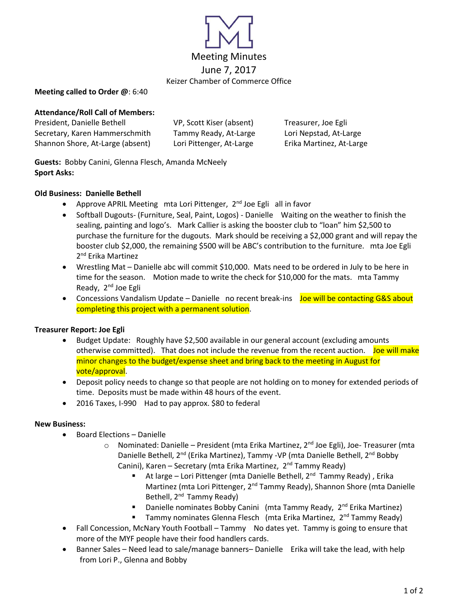

### **Meeting called to Order @**: 6:40

## **Attendance/Roll Call of Members:**

| President, Danielle Bethell      | VP, Scott Kiser (absent) | Treasurer, Joe Egli      |
|----------------------------------|--------------------------|--------------------------|
| Secretary, Karen Hammerschmith   | Tammy Ready, At-Large    | Lori Nepstad, At-Large   |
| Shannon Shore, At-Large (absent) | Lori Pittenger, At-Large | Erika Martinez, At-Large |

**Guests:** Bobby Canini, Glenna Flesch, Amanda McNeely **Sport Asks:** 

## **Old Business: Danielle Bethell**

- Approve APRIL Meeting mta Lori Pittenger,  $2<sup>nd</sup>$  Joe Egli all in favor
- Softball Dugouts- (Furniture, Seal, Paint, Logos) Danielle Waiting on the weather to finish the sealing, painting and logo's. Mark Callier is asking the booster club to "loan" him \$2,500 to purchase the furniture for the dugouts. Mark should be receiving a \$2,000 grant and will repay the booster club \$2,000, the remaining \$500 will be ABC's contribution to the furniture. mta Joe Egli 2<sup>nd</sup> Erika Martinez
- Wrestling Mat Danielle abc will commit \$10,000. Mats need to be ordered in July to be here in time for the season. Motion made to write the check for \$10,000 for the mats. mta Tammy Ready, 2<sup>nd</sup> Joe Egli
- Concessions Vandalism Update Danielle no recent break-ins Joe will be contacting G&S about completing this project with a permanent solution.

## **Treasurer Report: Joe Egli**

- Budget Update: Roughly have \$2,500 available in our general account (excluding amounts otherwise committed). That does not include the revenue from the recent auction. Joe will make minor changes to the budget/expense sheet and bring back to the meeting in August for vote/approval.
- Deposit policy needs to change so that people are not holding on to money for extended periods of time. Deposits must be made within 48 hours of the event.
- 2016 Taxes, I-990 Had to pay approx. \$80 to federal

## **New Business:**

- Board Elections Danielle
	- o Nominated: Danielle President (mta Erika Martinez, 2<sup>nd</sup> Joe Egli), Joe- Treasurer (mta Danielle Bethell, 2<sup>nd</sup> (Erika Martinez), Tammy -VP (mta Danielle Bethell, 2<sup>nd</sup> Bobby Canini), Karen – Secretary (mta Erika Martinez, 2<sup>nd</sup> Tammy Ready)
		- At large Lori Pittenger (mta Danielle Bethell, 2<sup>nd</sup> Tammy Ready), Erika Martinez (mta Lori Pittenger, 2<sup>nd</sup> Tammy Ready), Shannon Shore (mta Danielle Bethell, 2<sup>nd</sup> Tammy Ready)
		- Danielle nominates Bobby Canini (mta Tammy Ready, 2<sup>nd</sup> Erika Martinez)
		- **E** Tammy nominates Glenna Flesch (mta Erika Martinez, 2<sup>nd</sup> Tammy Ready)
- Fall Concession, McNary Youth Football Tammy No dates yet. Tammy is going to ensure that more of the MYF people have their food handlers cards.
- Banner Sales Need lead to sale/manage banners– Danielle Erika will take the lead, with help from Lori P., Glenna and Bobby